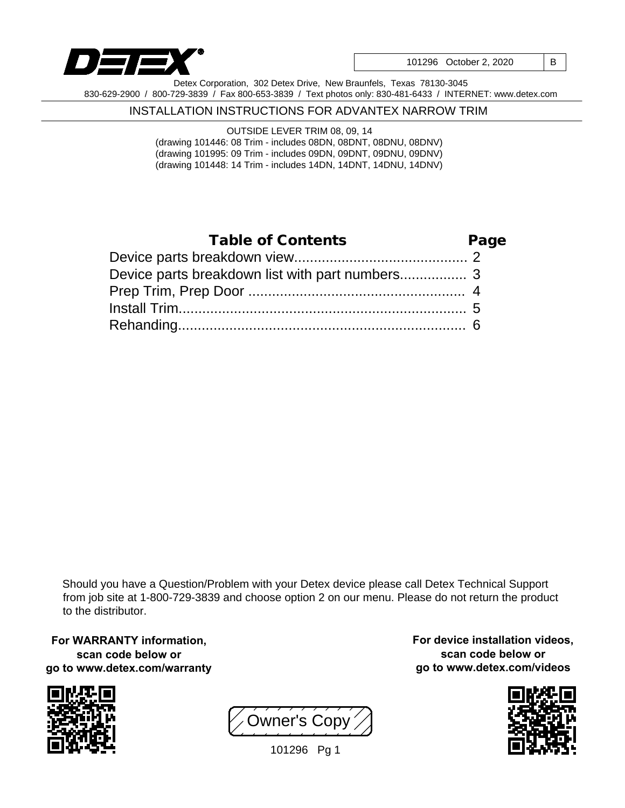

101296 October 2, 2020 | B

Detex Corporation, 302 Detex Drive, New Braunfels, Texas 78130-3045 830-629-2900 / 800-729-3839 / Fax 800-653-3839 / Text photos only: 830-481-6433 / INTERNET: www.detex.com

#### INSTALLATION INSTRUCTIONS FOR ADVANTEX NARROW TRIM

OUTSIDE LEVER TRIM 08, 09, 14 (drawing 101446: 08 Trim - includes 08DN, 08DNT, 08DNU, 08DNV) (drawing 101995: 09 Trim - includes 09DN, 09DNT, 09DNU, 09DNV) (drawing 101448: 14 Trim - includes 14DN, 14DNT, 14DNU, 14DNV)

## Page 2 Device parts breakdown view............................................ Device parts breakdown list with part numbers.................. 3 4 Prep Trim, Prep Door ....................................................... 5 Install Trim......................................................................... 6 Rehanding......................................................................... Table of Contents

Should you have a Question/Problem with your Detex device please call Detex Technical Support from job site at 1-800-729-3839 and choose option 2 on our menu. Please do not return the product to the distributor.

**For WARRANTY information, scan code below or go to www.detex.com/warranty**



Owner's Copy

**For device installation videos, scan code below or go to www.detex.com/videos**



101296 Pg 1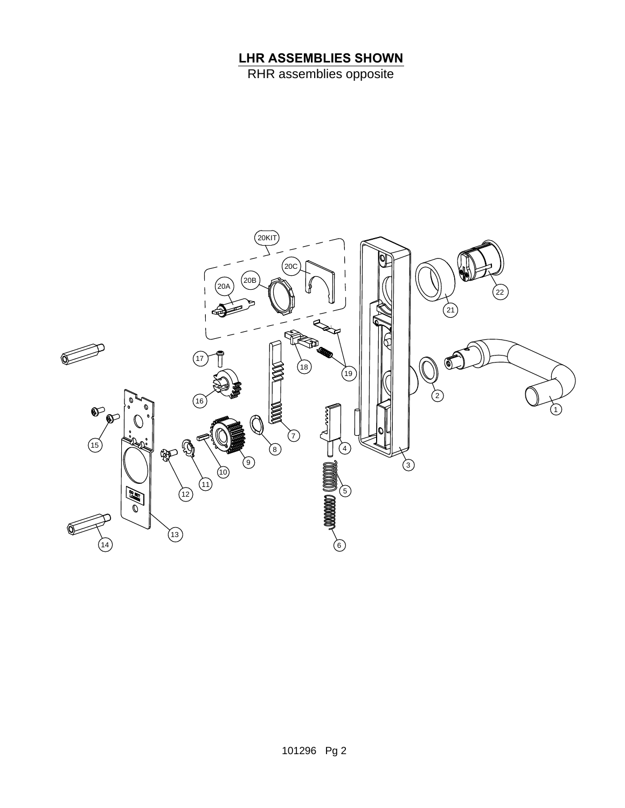# **LHR ASSEMBLIES SHOWN**

RHR assemblies opposite

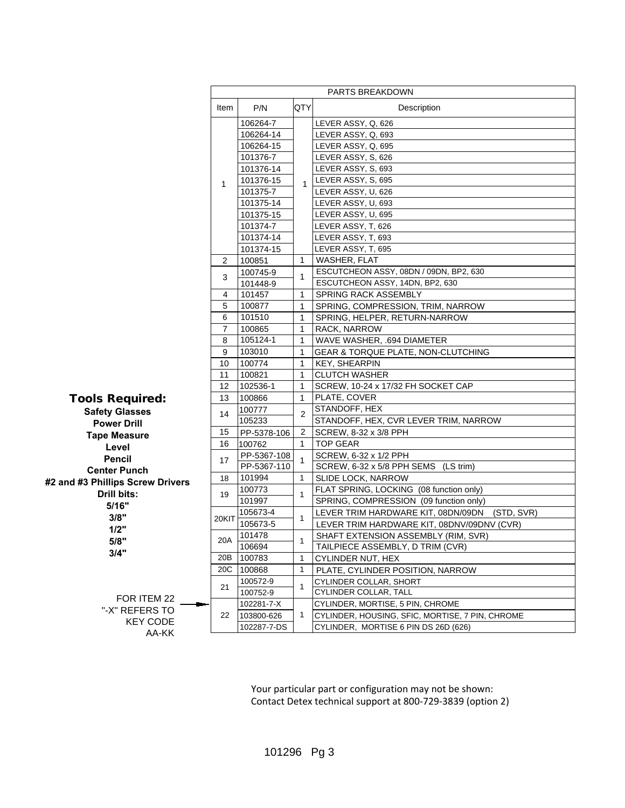|                                  | PARTS BREAKDOWN |              |              |                                                  |
|----------------------------------|-----------------|--------------|--------------|--------------------------------------------------|
|                                  | Item            | P/N          | <b>QTY</b>   | Description                                      |
|                                  |                 | 106264-7     | $\mathbf{1}$ | LEVER ASSY, Q, 626                               |
|                                  | 1               | 106264-14    |              | LEVER ASSY, Q, 693                               |
|                                  |                 | 106264-15    |              | LEVER ASSY, Q, 695                               |
|                                  |                 | 101376-7     |              | LEVER ASSY, S, 626                               |
|                                  |                 | 101376-14    |              | LEVER ASSY, S, 693                               |
|                                  |                 | 101376-15    |              | LEVER ASSY, S, 695                               |
|                                  |                 | 101375-7     |              | LEVER ASSY, U, 626                               |
|                                  |                 | 101375-14    |              | LEVER ASSY, U, 693                               |
|                                  |                 | 101375-15    |              | LEVER ASSY, U, 695                               |
|                                  |                 | 101374-7     |              | LEVER ASSY, T, 626                               |
|                                  |                 | 101374-14    |              | LEVER ASSY, T, 693                               |
|                                  |                 | 101374-15    |              | LEVER ASSY, T, 695                               |
|                                  | 2               | 100851       | $\mathbf{1}$ | WASHER, FLAT                                     |
|                                  | 3               | 100745-9     | $\mathbf{1}$ | ESCUTCHEON ASSY, 08DN / 09DN, BP2, 630           |
|                                  |                 | 101448-9     |              | ESCUTCHEON ASSY, 14DN, BP2, 630                  |
|                                  | 4               | 101457       | $\mathbf{1}$ | SPRING RACK ASSEMBLY                             |
|                                  | 5               | 100877       | $\mathbf{1}$ | SPRING, COMPRESSION, TRIM, NARROW                |
|                                  | 6               | 101510       | $\mathbf{1}$ | SPRING, HELPER, RETURN-NARROW                    |
|                                  | $\overline{7}$  | 100865       | $\mathbf{1}$ | RACK, NARROW                                     |
|                                  | 8               | $105124 - 1$ | $\mathbf{1}$ | WAVE WASHER, .694 DIAMETER                       |
|                                  | 9               | 103010       | $\mathbf{1}$ | GEAR & TORQUE PLATE, NON-CLUTCHING               |
|                                  | 10              | 100774       | $\mathbf{1}$ | <b>KEY, SHEARPIN</b>                             |
|                                  | 11              | 100821       | $\mathbf{1}$ | <b>CLUTCH WASHER</b>                             |
|                                  | 12              | 102536-1     | $\mathbf{1}$ | SCREW, 10-24 x 17/32 FH SOCKET CAP               |
| Tools Required:                  | 13              | 100866       | $\mathbf{1}$ | PLATE, COVER                                     |
| <b>Safety Glasses</b>            | 14              | 100777       | 2            | STANDOFF, HEX                                    |
| <b>Power Drill</b>               |                 | 105233       |              | STANDOFF, HEX, CVR LEVER TRIM, NARROW            |
| <b>Tape Measure</b>              | 15              | PP-5378-106  | 2            | SCREW, 8-32 x 3/8 PPH                            |
| Level                            | 16              | 100762       | $\mathbf{1}$ | <b>TOP GEAR</b>                                  |
| <b>Pencil</b>                    | 17              | PP-5367-108  | $\mathbf{1}$ | SCREW, 6-32 x 1/2 PPH                            |
| <b>Center Punch</b>              |                 | PP-5367-110  |              | SCREW, 6-32 x 5/8 PPH SEMS (LS trim)             |
| #2 and #3 Phillips Screw Drivers | 18              | 101994       | $\mathbf{1}$ | <b>SLIDE LOCK, NARROW</b>                        |
| Drill bits:                      | 19              | 100773       | $\mathbf{1}$ | FLAT SPRING, LOCKING (08 function only)          |
| 5/16"                            |                 | 101997       |              | SPRING, COMPRESSION (09 function only)           |
| 3/8"                             | 20KIT           | 105673-4     |              | LEVER TRIM HARDWARE KIT, 08DN/09DN<br>(STD, SVR) |
| 1/2"                             |                 | 105673-5     | $\mathbf{1}$ | LEVER TRIM HARDWARE KIT, 08DNV/09DNV (CVR)       |
|                                  | 20A             | 101478       |              | SHAFT EXTENSION ASSEMBLY (RIM, SVR)              |
| 5/8"                             |                 | 106694       | 1            | TAILPIECE ASSEMBLY, D TRIM (CVR)                 |
| 3/4"                             | 20B             | 100783       | 1            | CYLINDER NUT, HEX                                |
|                                  | 20C             | 100868       | $\mathbf{1}$ | PLATE, CYLINDER POSITION, NARROW                 |
|                                  |                 | 100572-9     |              | <b>CYLINDER COLLAR, SHORT</b>                    |
|                                  | 21              | 100752-9     | $\mathbf{1}$ | CYLINDER COLLAR, TALL                            |
| FOR ITEM 22                      | 22              | 102281-7-X   | 1            | CYLINDER, MORTISE, 5 PIN, CHROME                 |
| "-X" REFERS TO                   |                 | 103800-626   |              | CYLINDER, HOUSING, SFIC, MORTISE, 7 PIN, CHROME  |
| <b>KEY CODE</b>                  |                 | 102287-7-DS  |              | CYLINDER, MORTISE 6 PIN DS 26D (626)             |
| AA-KK                            |                 |              |              |                                                  |

Your particular part or configuration may not be shown: Contact Detex technical support at 800-729-3839 (option 2)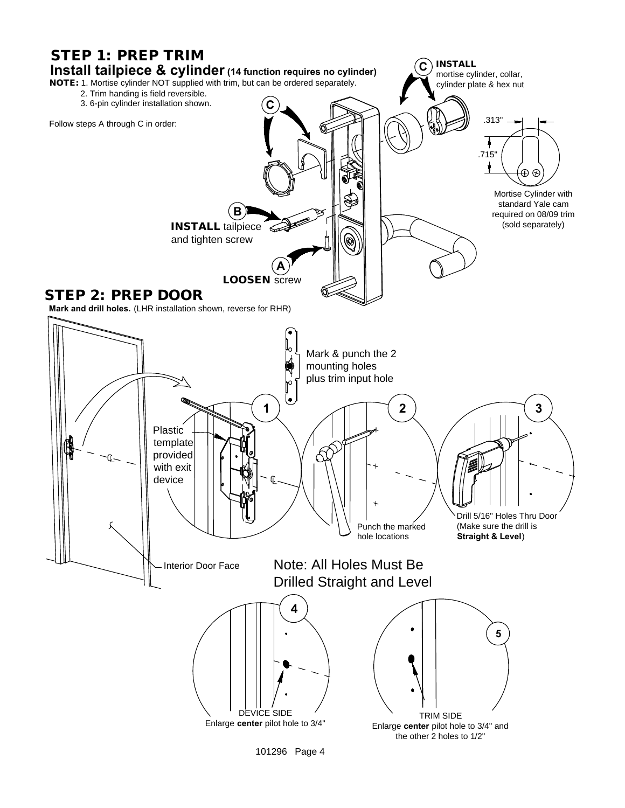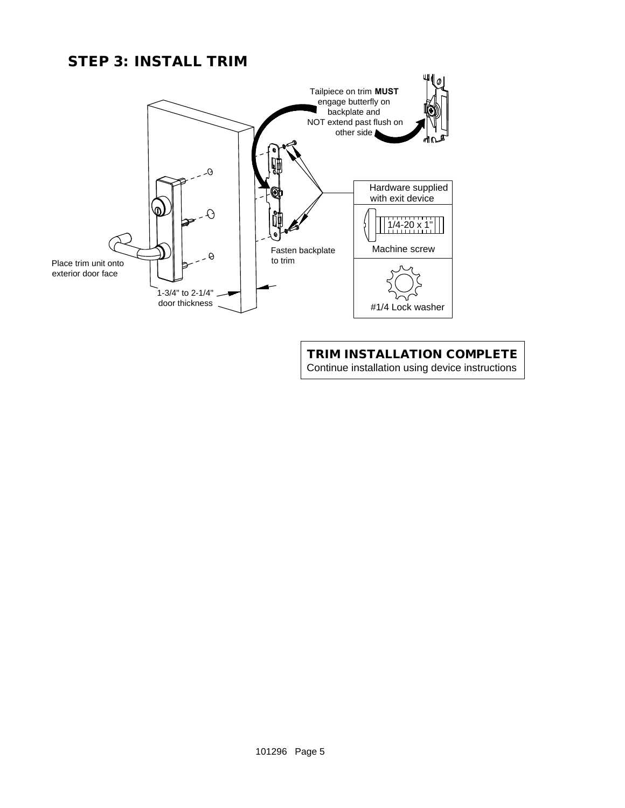## STEP 3: INSTALL TRIM



### TRIM INSTALLATION COMPLETE Continue installation using device instructions